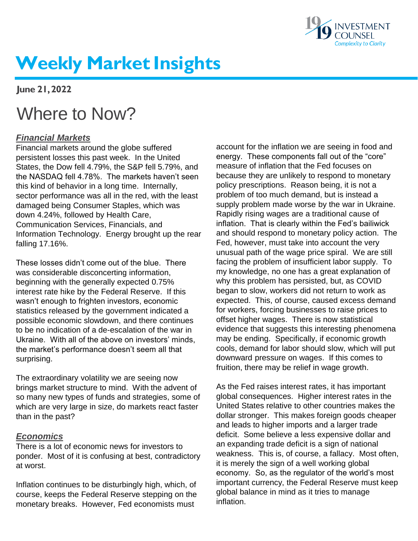

# **Weekly Market Insights**

**June 21, 2022**

## Where to Now?

## *Financial Markets*

Financial markets around the globe suffered persistent losses this past week. In the United States, the Dow fell 4.79%, the S&P fell 5.79%, and the NASDAQ fell 4.78%. The markets haven't seen this kind of behavior in a long time. Internally, sector performance was all in the red, with the least damaged being Consumer Staples, which was down 4.24%, followed by Health Care, Communication Services, Financials, and Information Technology. Energy brought up the rear falling 17.16%.

These losses didn't come out of the blue. There was considerable disconcerting information, beginning with the generally expected 0.75% interest rate hike by the Federal Reserve. If this wasn't enough to frighten investors, economic statistics released by the government indicated a possible economic slowdown, and there continues to be no indication of a de-escalation of the war in Ukraine. With all of the above on investors' minds, the market's performance doesn't seem all that surprising.

The extraordinary volatility we are seeing now brings market structure to mind. With the advent of so many new types of funds and strategies, some of which are very large in size, do markets react faster than in the past?

### *Economics*

There is a lot of economic news for investors to ponder. Most of it is confusing at best, contradictory at worst.

Inflation continues to be disturbingly high, which, of course, keeps the Federal Reserve stepping on the monetary breaks. However, Fed economists must

account for the inflation we are seeing in food and energy. These components fall out of the "core" measure of inflation that the Fed focuses on because they are unlikely to respond to monetary policy prescriptions. Reason being, it is not a problem of too much demand, but is instead a supply problem made worse by the war in Ukraine. Rapidly rising wages are a traditional cause of inflation. That is clearly within the Fed's bailiwick and should respond to monetary policy action. The Fed, however, must take into account the very unusual path of the wage price spiral. We are still facing the problem of insufficient labor supply. To my knowledge, no one has a great explanation of why this problem has persisted, but, as COVID began to slow, workers did not return to work as expected. This, of course, caused excess demand for workers, forcing businesses to raise prices to offset higher wages. There is now statistical evidence that suggests this interesting phenomena may be ending. Specifically, if economic growth cools, demand for labor should slow, which will put downward pressure on wages. If this comes to fruition, there may be relief in wage growth.

As the Fed raises interest rates, it has important global consequences. Higher interest rates in the United States relative to other countries makes the dollar stronger. This makes foreign goods cheaper and leads to higher imports and a larger trade deficit. Some believe a less expensive dollar and an expanding trade deficit is a sign of national weakness. This is, of course, a fallacy. Most often, it is merely the sign of a well working global economy. So, as the regulator of the world's most important currency, the Federal Reserve must keep global balance in mind as it tries to manage inflation.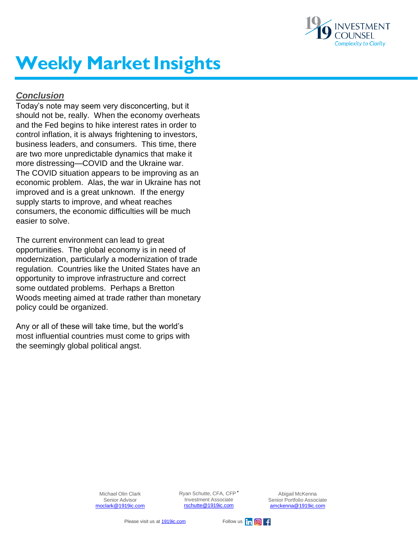

# **Weekly Market Insights**

### *Conclusion*

Today's note may seem very disconcerting, but it should not be, really. When the economy overheats and the Fed begins to hike interest rates in order to control inflation, it is always frightening to investors, business leaders, and consumers. This time, there are two more unpredictable dynamics that make it more distressing—COVID and the Ukraine war. The COVID situation appears to be improving as an economic problem. Alas, the war in Ukraine has not improved and is a great unknown. If the energy supply starts to improve, and wheat reaches consumers, the economic difficulties will be much easier to solve.

The current environment can lead to great opportunities. The global economy is in need of modernization, particularly a modernization of trade regulation. Countries like the United States have an opportunity to improve infrastructure and correct some outdated problems. Perhaps a Bretton Woods meeting aimed at trade rather than monetary policy could be organized.

Any or all of these will take time, but the world's most influential countries must come to grips with the seemingly global political angst.

> Michael Olin Clark Senior Advisor [moclark@1919ic.com](mailto:moclark@1919ic.com)

Ryan Schutte, CFA, CFP**®**  Investment Associate [rschutte@1919ic.com](mailto:rschutte@1919ic.com)

Abigail McKenna Senior Portfolio Associate [amckenna@1919ic.com](mailto:amckenna@1919ic.com)